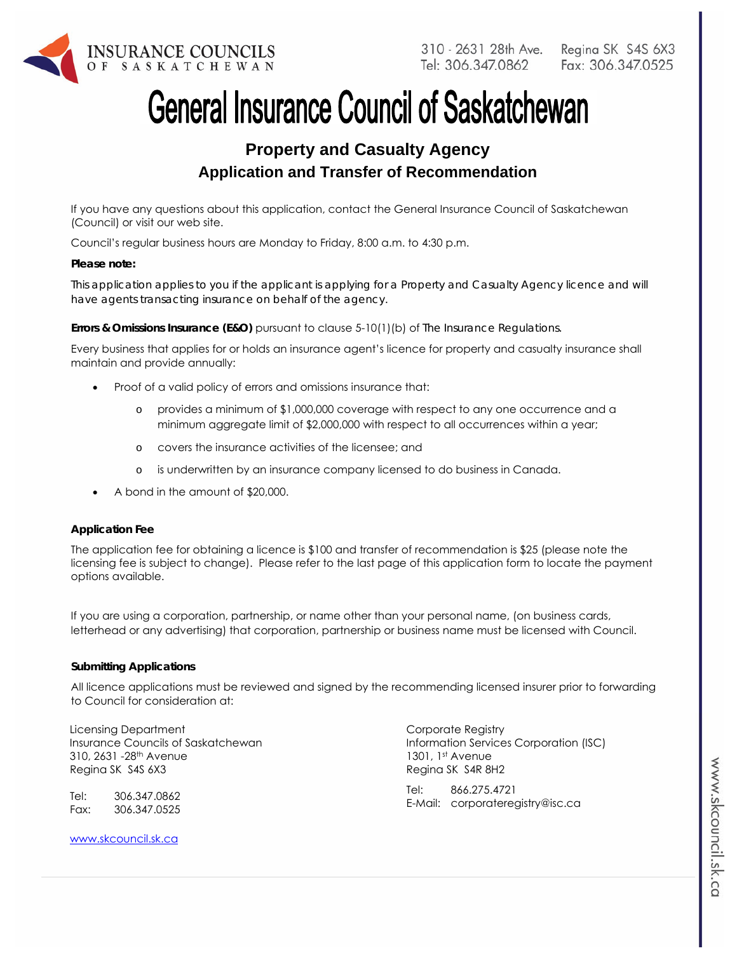

Regina SK S4S 6X3 Fax: 306.347.0525

# **General Insurance Council of Saskatchewan**

## **Property and Casualty Agency Application and Transfer of Recommendation**

If you have any questions about this application, contact the General Insurance Council of Saskatchewan (Council) or visit our web site.

Council's regular business hours are Monday to Friday, 8:00 a.m. to 4:30 p.m.

#### *Please note:*

This application applies to you if the applicant is applying for a Property and Casualty Agency licence and will *have agents transacting insurance on behalf of the agency.* 

**Errors & Omissions Insurance (E&O)** pursuant to clause 5-10(1)(b) of *The Insurance Regulations.* 

Every business that applies for or holds an insurance agent's licence for property and casualty insurance shall maintain and provide annually:

- Proof of a valid policy of errors and omissions insurance that:
	- o provides a minimum of \$1,000,000 coverage with respect to any one occurrence and a minimum aggregate limit of \$2,000,000 with respect to all occurrences within a year;
	- o covers the insurance activities of the licensee; and
	- o is underwritten by an insurance company licensed to do business in Canada.
- A bond in the amount of \$20,000.

#### **Application Fee**

The application fee for obtaining a licence is \$100 and transfer of recommendation is \$25 (please note the licensing fee is subject to change). Please refer to the last page of this application form to locate the payment options available.

If you are using a corporation, partnership, or name other than your personal name, (on business cards, letterhead or any advertising) that corporation, partnership or business name must be licensed with Council.

#### **Submitting Applications**

All licence applications must be reviewed and signed by the recommending licensed insurer prior to forwarding to Council for consideration at:

Licensing Department Insurance Councils of Saskatchewan 310, 2631 -28th Avenue Regina SK S4S 6X3

Tel: 306.347.0862 Fax: 306.347.0525

www.skcouncil.sk.ca

Corporate Registry Information Services Corporation (ISC) 1301, 1st Avenue Regina SK S4R 8H2

Tel: 866.275.4721 E-Mail: corporateregistry@isc.ca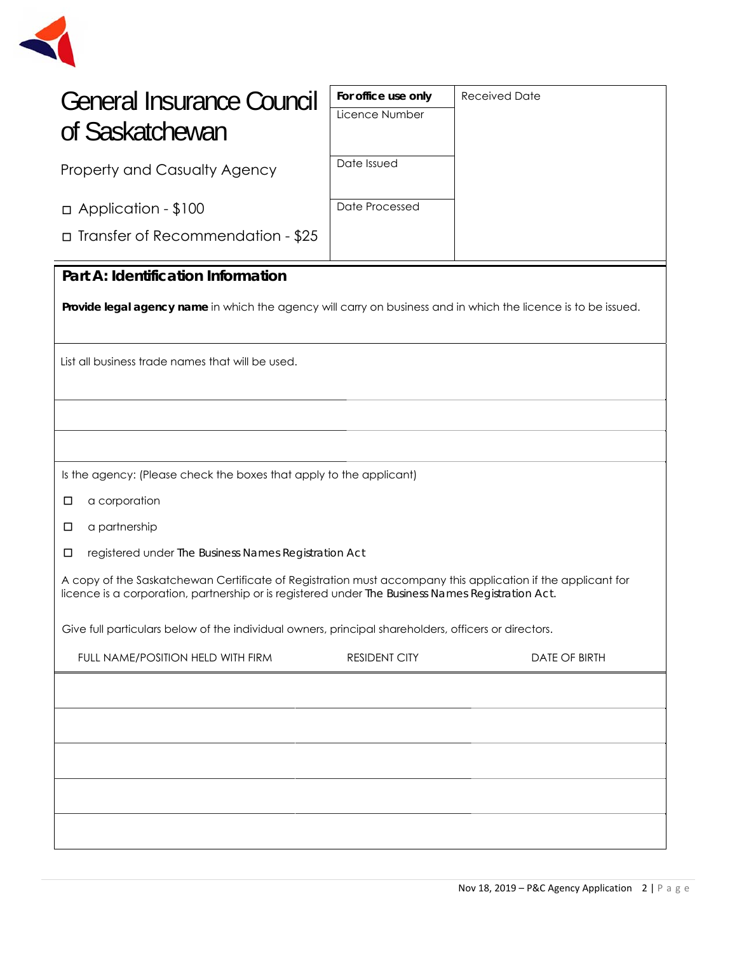

| <b>General Insurance Council</b><br>of Saskatchewan                                                                                                                                                              | For office use only<br>Licence Number | <b>Received Date</b> |  |  |
|------------------------------------------------------------------------------------------------------------------------------------------------------------------------------------------------------------------|---------------------------------------|----------------------|--|--|
| <b>Property and Casualty Agency</b>                                                                                                                                                                              | Date Issued                           |                      |  |  |
| □ Application - \$100                                                                                                                                                                                            | Date Processed                        |                      |  |  |
| Transfer of Recommendation - \$25<br>$\Box$                                                                                                                                                                      |                                       |                      |  |  |
| Part A: Identification Information                                                                                                                                                                               |                                       |                      |  |  |
| Provide legal agency name in which the agency will carry on business and in which the licence is to be issued.                                                                                                   |                                       |                      |  |  |
| List all business trade names that will be used.                                                                                                                                                                 |                                       |                      |  |  |
|                                                                                                                                                                                                                  |                                       |                      |  |  |
|                                                                                                                                                                                                                  |                                       |                      |  |  |
| Is the agency: (Please check the boxes that apply to the applicant)                                                                                                                                              |                                       |                      |  |  |
| a corporation<br>□                                                                                                                                                                                               |                                       |                      |  |  |
| a partnership<br>□                                                                                                                                                                                               |                                       |                      |  |  |
| □<br>registered under The Business Names Registration Act                                                                                                                                                        |                                       |                      |  |  |
| A copy of the Saskatchewan Certificate of Registration must accompany this application if the applicant for<br>licence is a corporation, partnership or is registered under The Business Names Registration Act. |                                       |                      |  |  |
| Give full particulars below of the individual owners, principal shareholders, officers or directors.                                                                                                             |                                       |                      |  |  |
| FULL NAME/POSITION HELD WITH FIRM                                                                                                                                                                                | <b>RESIDENT CITY</b>                  | <b>DATE OF BIRTH</b> |  |  |
|                                                                                                                                                                                                                  |                                       |                      |  |  |
|                                                                                                                                                                                                                  |                                       |                      |  |  |
|                                                                                                                                                                                                                  |                                       |                      |  |  |
|                                                                                                                                                                                                                  |                                       |                      |  |  |
|                                                                                                                                                                                                                  |                                       |                      |  |  |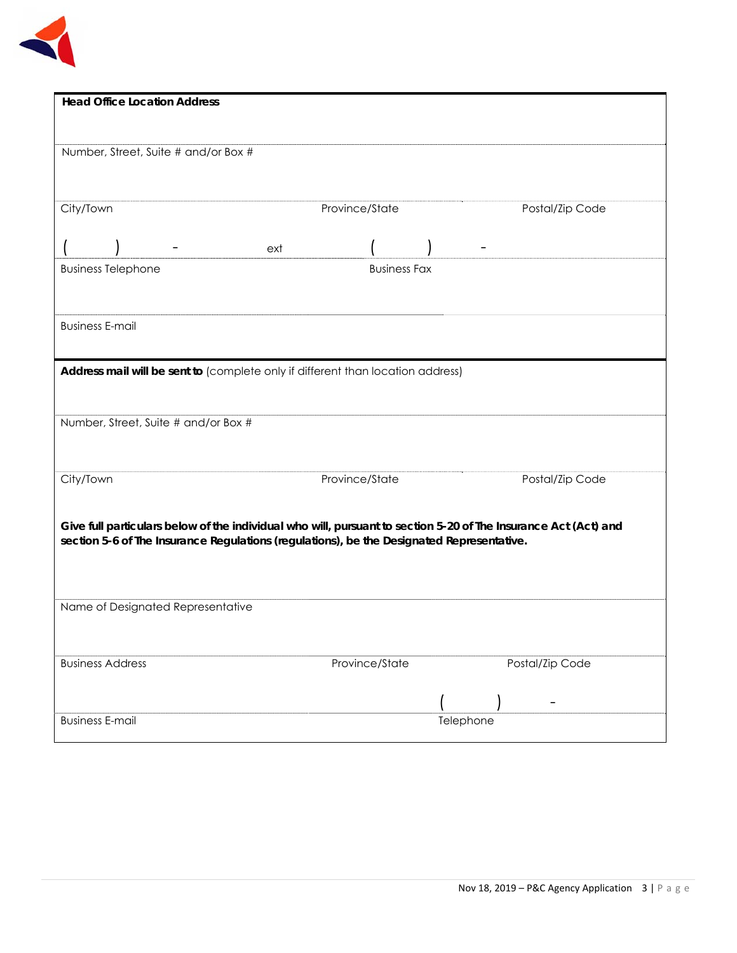

| <b>Head Office Location Address</b>                                                                             |                     |                 |
|-----------------------------------------------------------------------------------------------------------------|---------------------|-----------------|
|                                                                                                                 |                     |                 |
| Number, Street, Suite # and/or Box #                                                                            |                     |                 |
|                                                                                                                 |                     |                 |
|                                                                                                                 |                     |                 |
| City/Town                                                                                                       | Province/State      | Postal/Zip Code |
| ext                                                                                                             |                     |                 |
| <b>Business Telephone</b>                                                                                       | <b>Business Fax</b> |                 |
|                                                                                                                 |                     |                 |
|                                                                                                                 |                     |                 |
| <b>Business E-mail</b>                                                                                          |                     |                 |
|                                                                                                                 |                     |                 |
| Address mail will be sent to (complete only if different than location address)                                 |                     |                 |
|                                                                                                                 |                     |                 |
| Number, Street, Suite # and/or Box #                                                                            |                     |                 |
|                                                                                                                 |                     |                 |
|                                                                                                                 |                     |                 |
| City/Town                                                                                                       | Province/State      | Postal/Zip Code |
|                                                                                                                 |                     |                 |
| Give full particulars below of the individual who will, pursuant to section 5-20 of The Insurance Act (Act) and |                     |                 |
| section 5-6 of The Insurance Regulations (regulations), be the Designated Representative.                       |                     |                 |
|                                                                                                                 |                     |                 |
|                                                                                                                 |                     |                 |
| Name of Designated Representative                                                                               |                     |                 |
|                                                                                                                 |                     |                 |
| <b>Business Address</b>                                                                                         | Province/State      | Postal/Zip Code |
|                                                                                                                 |                     |                 |
|                                                                                                                 |                     |                 |
| <b>Business E-mail</b>                                                                                          |                     | Telephone       |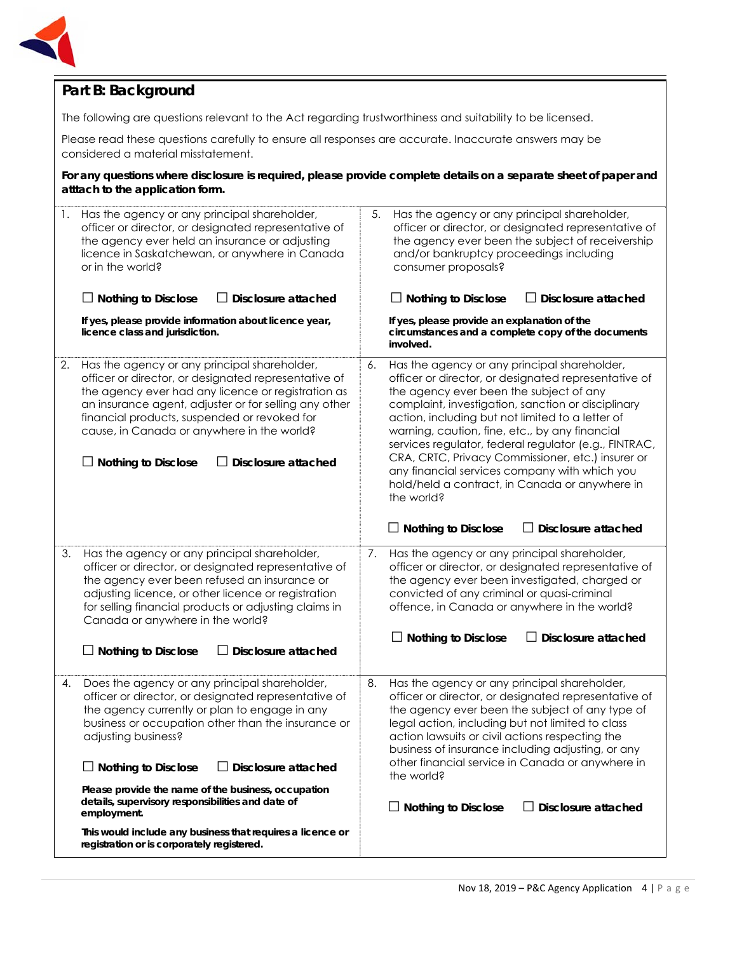

## **Part B: Background**

The following are questions relevant to the Act regarding trustworthiness and suitability to be licensed.

Please read these questions carefully to ensure all responses are accurate. Inaccurate answers may be considered a material misstatement.

**For any questions where disclosure is required, please provide complete details on a separate sheet of paper and atttach to the application form.**

| 1. | Has the agency or any principal shareholder,<br>officer or director, or designated representative of<br>the agency ever held an insurance or adjusting<br>licence in Saskatchewan, or anywhere in Canada<br>or in the world?<br>Disclosure attached<br>$\Box$ Nothing to Disclose<br>If yes, please provide information about licence year,<br>licence class and jurisdiction. | 5.<br>Has the agency or any principal shareholder,<br>officer or director, or designated representative of<br>the agency ever been the subject of receivership<br>and/or bankruptcy proceedings including<br>consumer proposals?<br><b>Disclosure attached</b><br>$\Box$ Nothing to Disclose<br>If yes, please provide an explanation of the<br>circumstances and a complete copy of the documents                                                                                                                                               |
|----|--------------------------------------------------------------------------------------------------------------------------------------------------------------------------------------------------------------------------------------------------------------------------------------------------------------------------------------------------------------------------------|--------------------------------------------------------------------------------------------------------------------------------------------------------------------------------------------------------------------------------------------------------------------------------------------------------------------------------------------------------------------------------------------------------------------------------------------------------------------------------------------------------------------------------------------------|
|    |                                                                                                                                                                                                                                                                                                                                                                                | involved.                                                                                                                                                                                                                                                                                                                                                                                                                                                                                                                                        |
| 2. | Has the agency or any principal shareholder,<br>officer or director, or designated representative of<br>the agency ever had any licence or registration as<br>an insurance agent, adjuster or for selling any other<br>financial products, suspended or revoked for<br>cause, in Canada or anywhere in the world?<br>$\Box$ Nothing to Disclose<br>$\Box$ Disclosure attached  | Has the agency or any principal shareholder,<br>6.<br>officer or director, or designated representative of<br>the agency ever been the subject of any<br>complaint, investigation, sanction or disciplinary<br>action, including but not limited to a letter of<br>warning, caution, fine, etc., by any financial<br>services regulator, federal regulator (e.g., FINTRAC,<br>CRA, CRTC, Privacy Commissioner, etc.) insurer or<br>any financial services company with which you<br>hold/held a contract, in Canada or anywhere in<br>the world? |
|    |                                                                                                                                                                                                                                                                                                                                                                                | Disclosure attached<br>$\Box$ Nothing to Disclose<br>$\mathsf{L}$                                                                                                                                                                                                                                                                                                                                                                                                                                                                                |
| 3. | Has the agency or any principal shareholder,<br>officer or director, or designated representative of<br>the agency ever been refused an insurance or<br>adjusting licence, or other licence or registration<br>for selling financial products or adjusting claims in<br>Canada or anywhere in the world?                                                                       | Has the agency or any principal shareholder,<br>7.<br>officer or director, or designated representative of<br>the agency ever been investigated, charged or<br>convicted of any criminal or quasi-criminal<br>offence, in Canada or anywhere in the world?                                                                                                                                                                                                                                                                                       |
|    | $\Box$ Nothing to Disclose<br>$\Box$ Disclosure attached                                                                                                                                                                                                                                                                                                                       | <b>Nothing to Disclose</b><br>$\Box$ Disclosure attached                                                                                                                                                                                                                                                                                                                                                                                                                                                                                         |
| 4. | Does the agency or any principal shareholder,<br>officer or director, or designated representative of<br>the agency currently or plan to engage in any<br>business or occupation other than the insurance or<br>adjusting business?<br>$\Box$ Disclosure attached<br>$\Box$ Nothing to Disclose                                                                                | Has the agency or any principal shareholder,<br>8.<br>officer or director, or designated representative of<br>the agency ever been the subject of any type of<br>legal action, including but not limited to class<br>action lawsuits or civil actions respecting the<br>business of insurance including adjusting, or any<br>other financial service in Canada or anywhere in<br>the world?                                                                                                                                                      |
|    | Please provide the name of the business, occupation<br>details, supervisory responsibilities and date of<br>employment.                                                                                                                                                                                                                                                        | $\Box$ Nothing to Disclose<br><b>Disclosure attached</b>                                                                                                                                                                                                                                                                                                                                                                                                                                                                                         |
|    | This would include any business that requires a licence or<br>registration or is corporately registered.                                                                                                                                                                                                                                                                       |                                                                                                                                                                                                                                                                                                                                                                                                                                                                                                                                                  |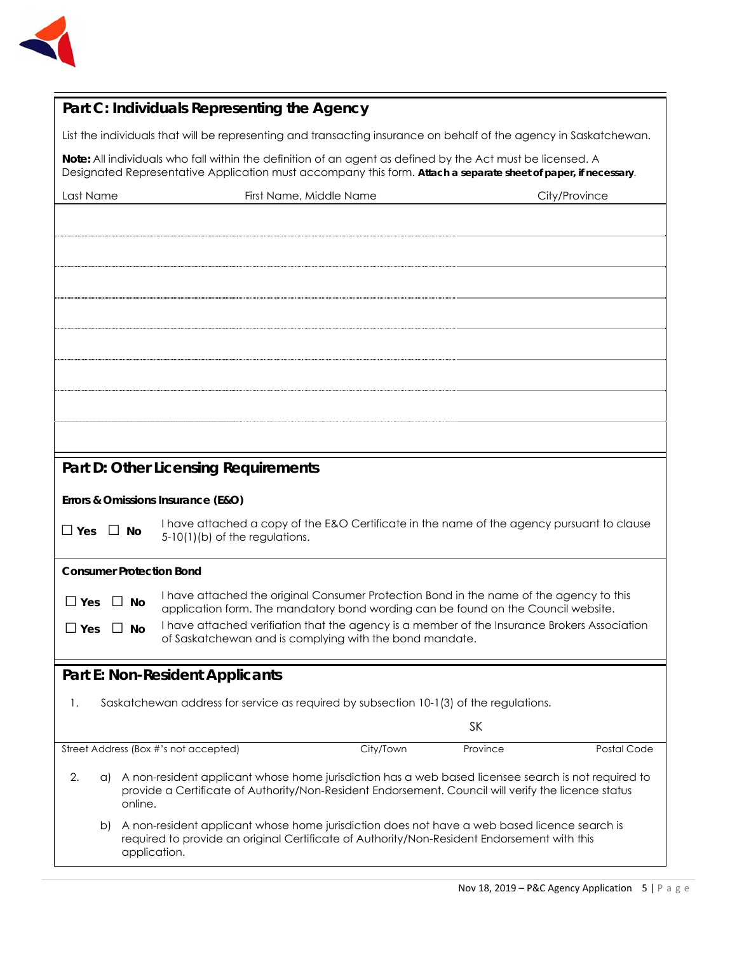

 $\mathbf{I}$ 

| Part C: Individuals Representing the Agency                                                                                                                                                                                       |                         |                       |               |
|-----------------------------------------------------------------------------------------------------------------------------------------------------------------------------------------------------------------------------------|-------------------------|-----------------------|---------------|
| List the individuals that will be representing and transacting insurance on behalf of the agency in Saskatchewan.                                                                                                                 |                         |                       |               |
| Note: All individuals who fall within the definition of an agent as defined by the Act must be licensed. A<br>Designated Representative Application must accompany this form. Attach a separate sheet of paper, if necessary.     |                         |                       |               |
| Last Name                                                                                                                                                                                                                         | First Name, Middle Name |                       | City/Province |
|                                                                                                                                                                                                                                   |                         |                       |               |
|                                                                                                                                                                                                                                   |                         |                       |               |
|                                                                                                                                                                                                                                   |                         |                       |               |
|                                                                                                                                                                                                                                   |                         |                       |               |
|                                                                                                                                                                                                                                   |                         |                       |               |
|                                                                                                                                                                                                                                   |                         |                       |               |
|                                                                                                                                                                                                                                   |                         |                       |               |
|                                                                                                                                                                                                                                   |                         |                       |               |
|                                                                                                                                                                                                                                   |                         |                       |               |
|                                                                                                                                                                                                                                   |                         |                       |               |
|                                                                                                                                                                                                                                   |                         |                       |               |
| Part D: Other Licensing Requirements                                                                                                                                                                                              |                         |                       |               |
| Errors & Omissions Insurance (E&O)                                                                                                                                                                                                |                         |                       |               |
| I have attached a copy of the E&O Certificate in the name of the agency pursuant to clause<br>$\Box$ Yes $\Box$ No<br>5-10(1)(b) of the regulations.                                                                              |                         |                       |               |
| <b>Consumer Protection Bond</b>                                                                                                                                                                                                   |                         |                       |               |
| I have attached the original Consumer Protection Bond in the name of the agency to this<br>$\Box$ Yes<br>$\Box$ No<br>application form. The mandatory bond wording can be found on the Council website.                           |                         |                       |               |
| I have attached verifiation that the agency is a member of the Insurance Brokers Association<br>$\square$ Yes<br>$\perp$<br>No<br>of Saskatchewan and is complying with the bond mandate.                                         |                         |                       |               |
| <b>Part E: Non-Resident Applicants</b>                                                                                                                                                                                            |                         |                       |               |
| 1.<br>Saskatchewan address for service as required by subsection 10-1(3) of the regulations.                                                                                                                                      |                         |                       |               |
|                                                                                                                                                                                                                                   |                         |                       |               |
|                                                                                                                                                                                                                                   |                         | <b>SK</b><br>Province | Postal Code   |
| Street Address (Box #'s not accepted)                                                                                                                                                                                             | City/Town               |                       |               |
| 2.<br>A non-resident applicant whose home jurisdiction has a web based licensee search is not required to<br>a)<br>provide a Certificate of Authority/Non-Resident Endorsement. Council will verify the licence status<br>online. |                         |                       |               |
| A non-resident applicant whose home jurisdiction does not have a web based licence search is<br>b)<br>required to provide an original Certificate of Authority/Non-Resident Endorsement with this<br>application.                 |                         |                       |               |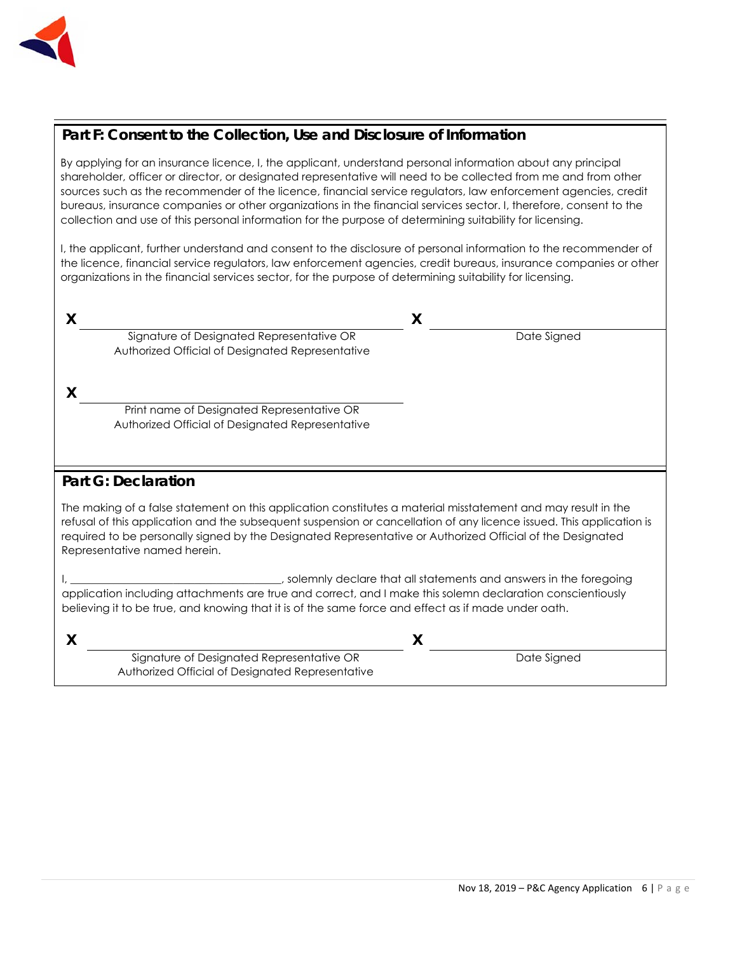

## **Part F: Consent to the Collection, Use and Disclosure of Information**

By applying for an insurance licence, I, the applicant, understand personal information about any principal shareholder, officer or director, or designated representative will need to be collected from me and from other sources such as the recommender of the licence, financial service regulators, law enforcement agencies, credit bureaus, insurance companies or other organizations in the financial services sector. I, therefore, consent to the collection and use of this personal information for the purpose of determining suitability for licensing.

I, the applicant, further understand and consent to the disclosure of personal information to the recommender of the licence, financial service regulators, law enforcement agencies, credit bureaus, insurance companies or other organizations in the financial services sector, for the purpose of determining suitability for licensing.

| X                                                                                                                                                                                                                                                                                                                                                                                   | X                                                                                      |
|-------------------------------------------------------------------------------------------------------------------------------------------------------------------------------------------------------------------------------------------------------------------------------------------------------------------------------------------------------------------------------------|----------------------------------------------------------------------------------------|
| Signature of Designated Representative OR                                                                                                                                                                                                                                                                                                                                           | Date Signed                                                                            |
| Authorized Official of Designated Representative                                                                                                                                                                                                                                                                                                                                    |                                                                                        |
|                                                                                                                                                                                                                                                                                                                                                                                     |                                                                                        |
| X                                                                                                                                                                                                                                                                                                                                                                                   |                                                                                        |
| Print name of Designated Representative OR                                                                                                                                                                                                                                                                                                                                          |                                                                                        |
| Authorized Official of Designated Representative                                                                                                                                                                                                                                                                                                                                    |                                                                                        |
|                                                                                                                                                                                                                                                                                                                                                                                     |                                                                                        |
|                                                                                                                                                                                                                                                                                                                                                                                     |                                                                                        |
| <b>Part G: Declaration</b>                                                                                                                                                                                                                                                                                                                                                          |                                                                                        |
| The making of a false statement on this application constitutes a material misstatement and may result in the<br>refusal of this application and the subsequent suspension or cancellation of any licence issued. This application is<br>required to be personally signed by the Designated Representative or Authorized Official of the Designated<br>Representative named herein. |                                                                                        |
|                                                                                                                                                                                                                                                                                                                                                                                     | ___________________, solemnly declare that all statements and answers in the foregoing |
| application including attachments are true and correct, and I make this solemn declaration conscientiously                                                                                                                                                                                                                                                                          |                                                                                        |
| believing it to be true, and knowing that it is of the same force and effect as if made under oath.                                                                                                                                                                                                                                                                                 |                                                                                        |
|                                                                                                                                                                                                                                                                                                                                                                                     |                                                                                        |
| X                                                                                                                                                                                                                                                                                                                                                                                   | X                                                                                      |
| Signature of Designated Representative OR                                                                                                                                                                                                                                                                                                                                           | Date Signed                                                                            |
| Authorized Official of Designated Representative                                                                                                                                                                                                                                                                                                                                    |                                                                                        |
|                                                                                                                                                                                                                                                                                                                                                                                     |                                                                                        |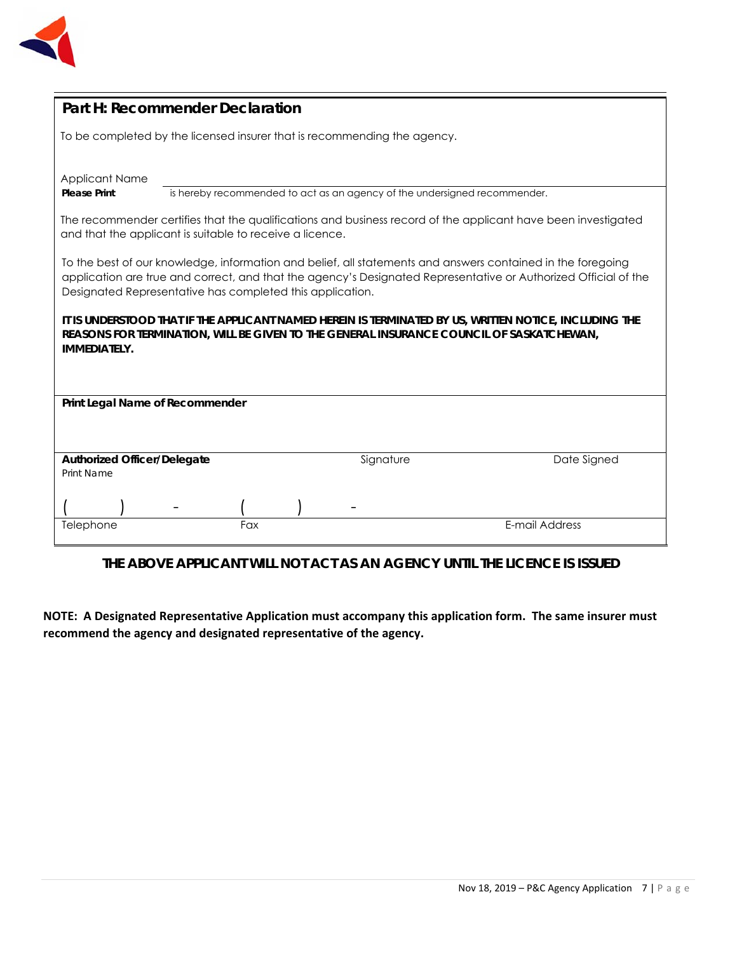

| Part H: Recommender Declaration                                                                                                                                                                                                                                                             |     |  |           |                |
|---------------------------------------------------------------------------------------------------------------------------------------------------------------------------------------------------------------------------------------------------------------------------------------------|-----|--|-----------|----------------|
| To be completed by the licensed insurer that is recommending the agency.                                                                                                                                                                                                                    |     |  |           |                |
|                                                                                                                                                                                                                                                                                             |     |  |           |                |
| <b>Applicant Name</b><br><b>Please Print</b>                                                                                                                                                                                                                                                |     |  |           |                |
| is hereby recommended to act as an agency of the undersigned recommender.<br>The recommender certifies that the qualifications and business record of the applicant have been investigated<br>and that the applicant is suitable to receive a licence.                                      |     |  |           |                |
| To the best of our knowledge, information and belief, all statements and answers contained in the foregoing<br>application are true and correct, and that the agency's Designated Representative or Authorized Official of the<br>Designated Representative has completed this application. |     |  |           |                |
| It is understood that if the applicant named herein is terminated by US, written notice, including the<br>REASONS FOR TERMINATION, WILL BE GIVEN TO THE GENERAL INSURANCE COUNCIL OF SASKATCHEWAN,<br><b>IMMEDIATELY.</b>                                                                   |     |  |           |                |
| Print Legal Name of Recommender                                                                                                                                                                                                                                                             |     |  |           |                |
| <b>Authorized Officer/Delegate</b><br><b>Print Name</b>                                                                                                                                                                                                                                     |     |  | Signature | Date Signed    |
|                                                                                                                                                                                                                                                                                             |     |  |           |                |
| Telephone                                                                                                                                                                                                                                                                                   | Fax |  |           | E-mail Address |

**THE ABOVE APPLICANT WILL NOT ACT AS AN AGENCY UNTIL THE LICENCE IS ISSUED** 

**NOTE: A Designated Representative Application must accompany this application form. The same insurer must recommend the agency and designated representative of the agency.**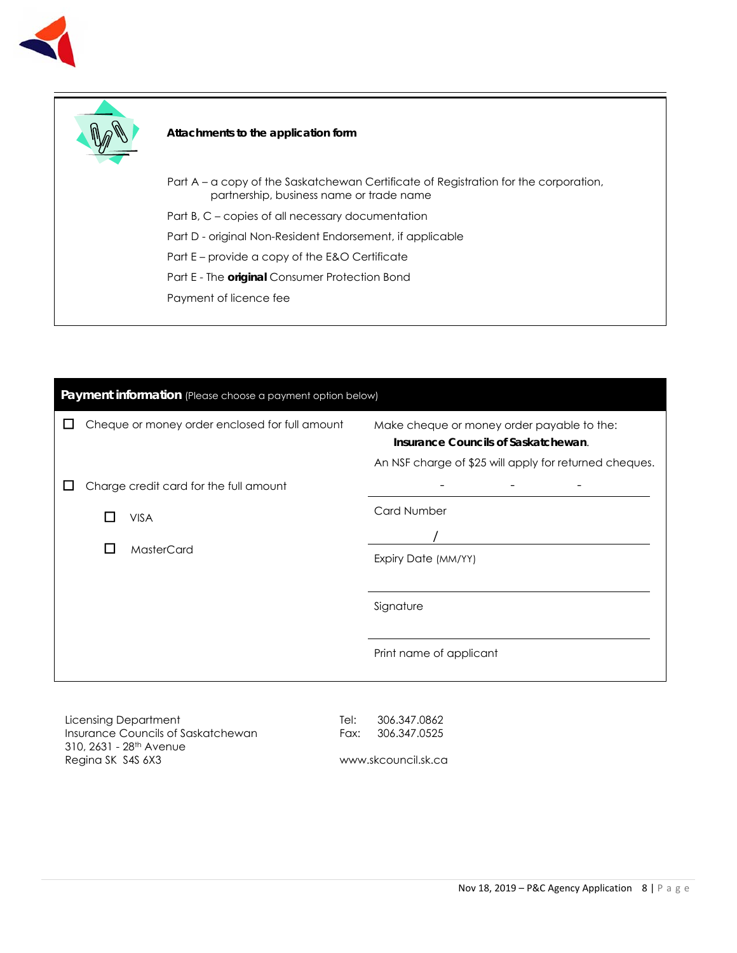

| Attachments to the application form                                                                                              |
|----------------------------------------------------------------------------------------------------------------------------------|
| Part A – a copy of the Saskatchewan Certificate of Registration for the corporation,<br>partnership, business name or trade name |
| Part B, C – copies of all necessary documentation                                                                                |
| Part D - original Non-Resident Endorsement, if applicable                                                                        |
| Part E - provide a copy of the E&O Certificate                                                                                   |
| Part E - The <b>original</b> Consumer Protection Bond                                                                            |
| Payment of licence fee                                                                                                           |
|                                                                                                                                  |

| Payment information (Please choose a payment option below) |                   |                                                |                                                                                                                                             |
|------------------------------------------------------------|-------------------|------------------------------------------------|---------------------------------------------------------------------------------------------------------------------------------------------|
|                                                            |                   | Cheque or money order enclosed for full amount | Make cheque or money order payable to the:<br>Insurance Councils of Saskatchewan.<br>An NSF charge of \$25 will apply for returned cheques. |
|                                                            |                   | Charge credit card for the full amount         |                                                                                                                                             |
|                                                            |                   | <b>VISA</b>                                    | <b>Card Number</b>                                                                                                                          |
|                                                            | <b>MasterCard</b> |                                                |                                                                                                                                             |
|                                                            |                   |                                                | Expiry Date (MM/YY)                                                                                                                         |
|                                                            |                   |                                                | Signature                                                                                                                                   |
|                                                            |                   |                                                | Print name of applicant                                                                                                                     |
|                                                            |                   |                                                |                                                                                                                                             |

Licensing Department Insurance Councils of Saskatchewan 310, 2631 - 28th Avenue Regina SK S4S 6X3

Tel: 306.347.0862 Fax: 306.347.0525 www.skcouncil.sk.ca